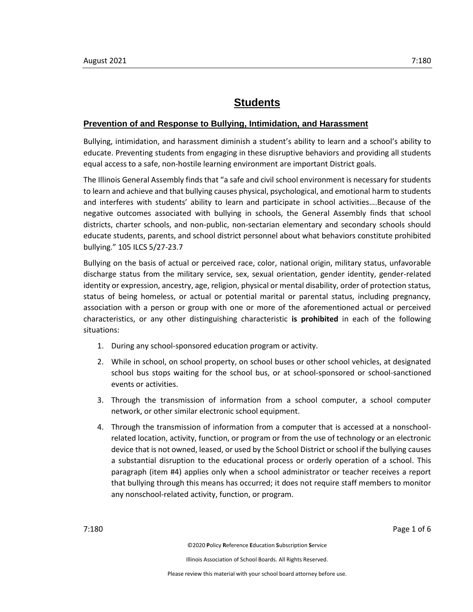# **Students**

### **Prevention of and Response to Bullying, Intimidation, and Harassment**

Bullying, intimidation, and harassment diminish a student's ability to learn and a school's ability to educate. Preventing students from engaging in these disruptive behaviors and providing all students equal access to a safe, non-hostile learning environment are important District goals.

The Illinois General Assembly finds that "a safe and civil school environment is necessary for students to learn and achieve and that bullying causes physical, psychological, and emotional harm to students and interferes with students' ability to learn and participate in school activities….Because of the negative outcomes associated with bullying in schools, the General Assembly finds that school districts, charter schools, and non-public, non-sectarian elementary and secondary schools should educate students, parents, and school district personnel about what behaviors constitute prohibited bullying." 105 ILCS 5/27-23.7

Bullying on the basis of actual or perceived race, color, national origin, military status, unfavorable discharge status from the military service, sex, sexual orientation, gender identity, gender-related identity or expression, ancestry, age, religion, physical or mental disability, order of protection status, status of being homeless, or actual or potential marital or parental status, including pregnancy, association with a person or group with one or more of the aforementioned actual or perceived characteristics, or any other distinguishing characteristic **is prohibited** in each of the following situations:

- 1. During any school-sponsored education program or activity.
- 2. While in school, on school property, on school buses or other school vehicles, at designated school bus stops waiting for the school bus, or at school-sponsored or school-sanctioned events or activities.
- 3. Through the transmission of information from a school computer, a school computer network, or other similar electronic school equipment.
- 4. Through the transmission of information from a computer that is accessed at a nonschoolrelated location, activity, function, or program or from the use of technology or an electronic device that is not owned, leased, or used by the School District or school if the bullying causes a substantial disruption to the educational process or orderly operation of a school. This paragraph (item #4) applies only when a school administrator or teacher receives a report that bullying through this means has occurred; it does not require staff members to monitor any nonschool-related activity, function, or program.

7:180 Page 1 of 6

©2020 **P**olicy **R**eference **E**ducation **S**ubscription **S**ervice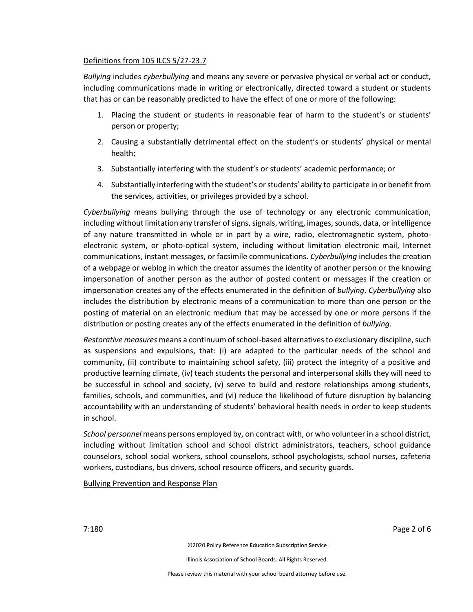## Definitions from 105 ILCS 5/27-23.7

*Bullying* includes *cyberbullying* and means any severe or pervasive physical or verbal act or conduct, including communications made in writing or electronically, directed toward a student or students that has or can be reasonably predicted to have the effect of one or more of the following:

- 1. Placing the student or students in reasonable fear of harm to the student's or students' person or property;
- 2. Causing a substantially detrimental effect on the student's or students' physical or mental health;
- 3. Substantially interfering with the student's or students' academic performance; or
- 4. Substantially interfering with the student's or students' ability to participate in or benefit from the services, activities, or privileges provided by a school.

*Cyberbullying* means bullying through the use of technology or any electronic communication, including without limitation any transfer of signs, signals, writing, images, sounds, data, or intelligence of any nature transmitted in whole or in part by a wire, radio, electromagnetic system, photoelectronic system, or photo-optical system, including without limitation electronic mail, Internet communications, instant messages, or facsimile communications. *Cyberbullying* includes the creation of a webpage or weblog in which the creator assumes the identity of another person or the knowing impersonation of another person as the author of posted content or messages if the creation or impersonation creates any of the effects enumerated in the definition of *bullying*. *Cyberbullying* also includes the distribution by electronic means of a communication to more than one person or the posting of material on an electronic medium that may be accessed by one or more persons if the distribution or posting creates any of the effects enumerated in the definition of *bullying*.

*Restorative measures* means a continuum of school-based alternatives to exclusionary discipline, such as suspensions and expulsions, that: (i) are adapted to the particular needs of the school and community, (ii) contribute to maintaining school safety, (iii) protect the integrity of a positive and productive learning climate, (iv) teach students the personal and interpersonal skills they will need to be successful in school and society, (v) serve to build and restore relationships among students, families, schools, and communities, and (vi) reduce the likelihood of future disruption by balancing accountability with an understanding of students' behavioral health needs in order to keep students in school.

*School personnel* means persons employed by, on contract with, or who volunteer in a school district, including without limitation school and school district administrators, teachers, school guidance counselors, school social workers, school counselors, school psychologists, school nurses, cafeteria workers, custodians, bus drivers, school resource officers, and security guards.

Bullying Prevention and Response Plan

7:180 Page 2 of 6

©2020 **P**olicy **R**eference **E**ducation **S**ubscription **S**ervice

Illinois Association of School Boards. All Rights Reserved.

Please review this material with your school board attorney before use.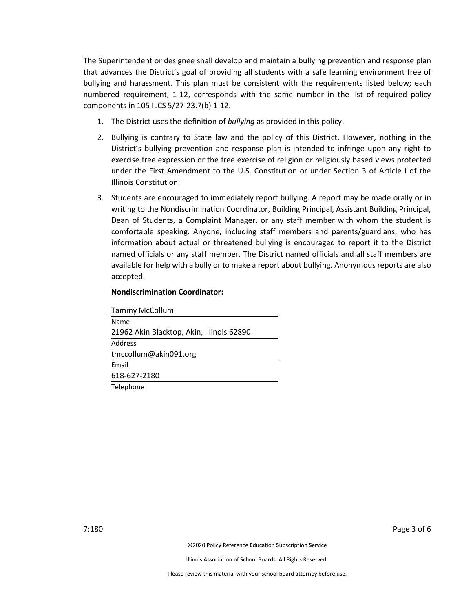The Superintendent or designee shall develop and maintain a bullying prevention and response plan that advances the District's goal of providing all students with a safe learning environment free of bullying and harassment. This plan must be consistent with the requirements listed below; each numbered requirement, 1-12, corresponds with the same number in the list of required policy components in 105 ILCS 5/27-23.7(b) 1-12.

- 1. The District uses the definition of *bullying* as provided in this policy.
- 2. Bullying is contrary to State law and the policy of this District. However, nothing in the District's bullying prevention and response plan is intended to infringe upon any right to exercise free expression or the free exercise of religion or religiously based views protected under the First Amendment to the U.S. Constitution or under Section 3 of Article I of the Illinois Constitution.
- 3. Students are encouraged to immediately report bullying. A report may be made orally or in writing to the Nondiscrimination Coordinator, Building Principal, Assistant Building Principal, Dean of Students, a Complaint Manager, or any staff member with whom the student is comfortable speaking. Anyone, including staff members and parents/guardians, who has information about actual or threatened bullying is encouraged to report it to the District named officials or any staff member. The District named officials and all staff members are available for help with a bully or to make a report about bullying. Anonymous reports are also accepted.

### **Nondiscrimination Coordinator:**

| <b>Tammy McCollum</b>                     |
|-------------------------------------------|
| Name                                      |
| 21962 Akin Blacktop, Akin, Illinois 62890 |
| Address                                   |
| tmccollum@akin091.org                     |
| Email                                     |
| 618-627-2180                              |
| Telephone                                 |

7:180 Page 3 of 6

©2020 **P**olicy **R**eference **E**ducation **S**ubscription **S**ervice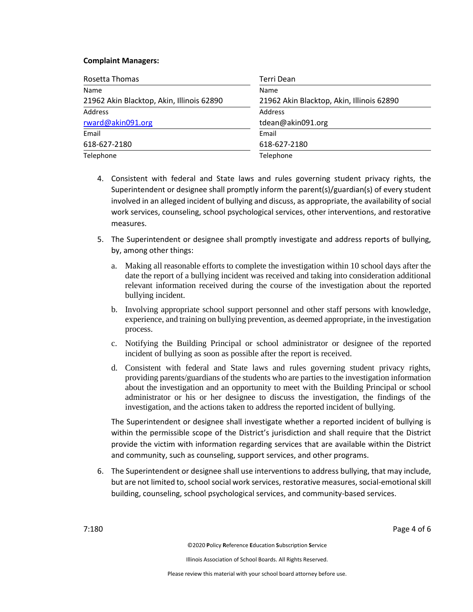### **Complaint Managers:**

| Rosetta Thomas                            | Terri Dean                                |
|-------------------------------------------|-------------------------------------------|
| Name                                      | Name                                      |
| 21962 Akin Blacktop, Akin, Illinois 62890 | 21962 Akin Blacktop, Akin, Illinois 62890 |
| <b>Address</b>                            | Address                                   |
| rward@akin091.org                         | tdean@akin091.org                         |
| Email                                     | Email                                     |
| 618-627-2180                              | 618-627-2180                              |
| Telephone                                 | Telephone                                 |

- 4. Consistent with federal and State laws and rules governing student privacy rights, the Superintendent or designee shall promptly inform the parent(s)/guardian(s) of every student involved in an alleged incident of bullying and discuss, as appropriate, the availability of social work services, counseling, school psychological services, other interventions, and restorative measures.
- 5. The Superintendent or designee shall promptly investigate and address reports of bullying, by, among other things:
	- a. Making all reasonable efforts to complete the investigation within 10 school days after the date the report of a bullying incident was received and taking into consideration additional relevant information received during the course of the investigation about the reported bullying incident.
	- b. Involving appropriate school support personnel and other staff persons with knowledge, experience, and training on bullying prevention, as deemed appropriate, in the investigation process.
	- c. Notifying the Building Principal or school administrator or designee of the reported incident of bullying as soon as possible after the report is received.
	- d. Consistent with federal and State laws and rules governing student privacy rights, providing parents/guardians of the students who are parties to the investigation information about the investigation and an opportunity to meet with the Building Principal or school administrator or his or her designee to discuss the investigation, the findings of the investigation, and the actions taken to address the reported incident of bullying.

The Superintendent or designee shall investigate whether a reported incident of bullying is within the permissible scope of the District's jurisdiction and shall require that the District provide the victim with information regarding services that are available within the District and community, such as counseling, support services, and other programs.

6. The Superintendent or designee shall use interventions to address bullying, that may include, but are not limited to, school social work services, restorative measures, social-emotional skill building, counseling, school psychological services, and community-based services.

7:180 Page 4 of 6

©2020 **P**olicy **R**eference **E**ducation **S**ubscription **S**ervice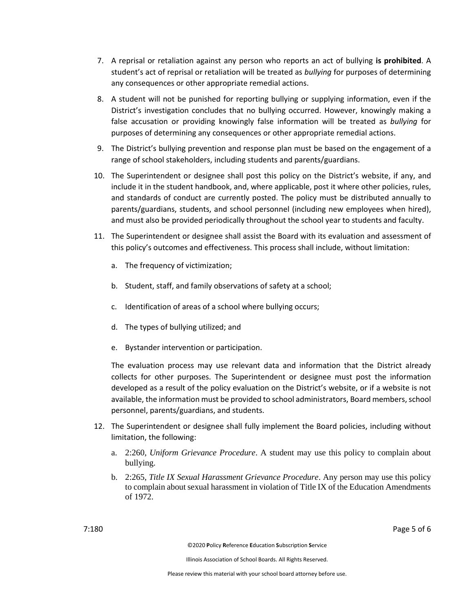- 7. A reprisal or retaliation against any person who reports an act of bullying **is prohibited**. A student's act of reprisal or retaliation will be treated as *bullying* for purposes of determining any consequences or other appropriate remedial actions.
- 8. A student will not be punished for reporting bullying or supplying information, even if the District's investigation concludes that no bullying occurred. However, knowingly making a false accusation or providing knowingly false information will be treated as *bullying* for purposes of determining any consequences or other appropriate remedial actions.
- 9. The District's bullying prevention and response plan must be based on the engagement of a range of school stakeholders, including students and parents/guardians.
- 10. The Superintendent or designee shall post this policy on the District's website, if any, and include it in the student handbook, and, where applicable, post it where other policies, rules, and standards of conduct are currently posted. The policy must be distributed annually to parents/guardians, students, and school personnel (including new employees when hired), and must also be provided periodically throughout the school year to students and faculty.
- 11. The Superintendent or designee shall assist the Board with its evaluation and assessment of this policy's outcomes and effectiveness. This process shall include, without limitation:
	- a. The frequency of victimization;
	- b. Student, staff, and family observations of safety at a school;
	- c. Identification of areas of a school where bullying occurs;
	- d. The types of bullying utilized; and
	- e. Bystander intervention or participation.

The evaluation process may use relevant data and information that the District already collects for other purposes. The Superintendent or designee must post the information developed as a result of the policy evaluation on the District's website, or if a website is not available, the information must be provided to school administrators, Board members, school personnel, parents/guardians, and students.

- 12. The Superintendent or designee shall fully implement the Board policies, including without limitation, the following:
	- a. 2:260, *Uniform Grievance Procedure*. A student may use this policy to complain about bullying.
	- b. 2:265, *Title IX Sexual Harassment Grievance Procedure*. Any person may use this policy to complain about sexual harassment in violation of Title IX of the Education Amendments of 1972.

7:180 Page 5 of 6

©2020 **P**olicy **R**eference **E**ducation **S**ubscription **S**ervice